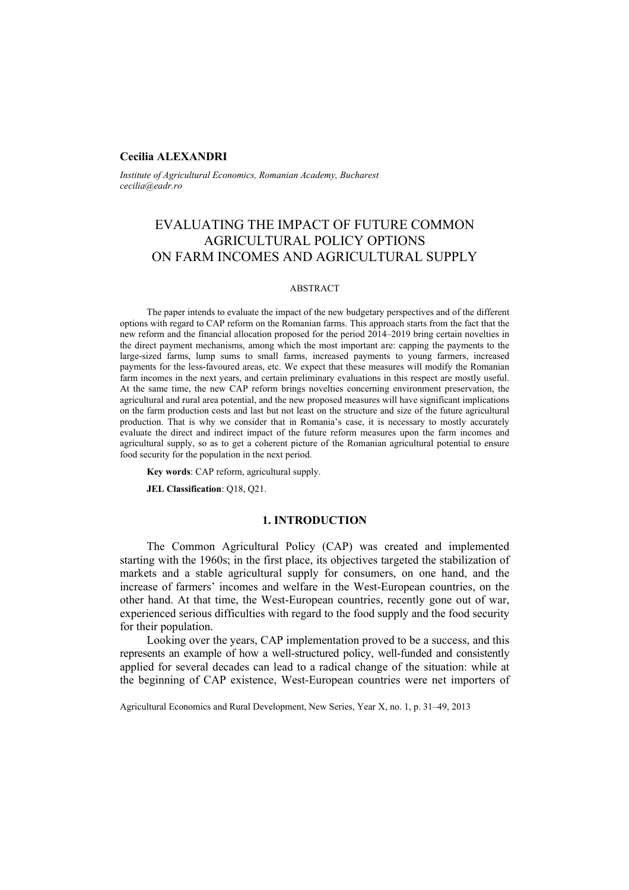# **Cecilia ALEXANDRI**

*Institute of Agricultural Economics, Romanian Academy, Bucharest cecilia@eadr.ro* 

# EVALUATING THE IMPACT OF FUTURE COMMON AGRICULTURAL POLICY OPTIONS ON FARM INCOMES AND AGRICULTURAL SUPPLY

#### ABSTRACT

The paper intends to evaluate the impact of the new budgetary perspectives and of the different options with regard to CAP reform on the Romanian farms. This approach starts from the fact that the new reform and the financial allocation proposed for the period 2014–2019 bring certain novelties in the direct payment mechanisms, among which the most important are: capping the payments to the large-sized farms, lump sums to small farms, increased payments to young farmers, increased payments for the less-favoured areas, etc. We expect that these measures will modify the Romanian farm incomes in the next years, and certain preliminary evaluations in this respect are mostly useful. At the same time, the new CAP reform brings novelties concerning environment preservation, the agricultural and rural area potential, and the new proposed measures will have significant implications on the farm production costs and last but not least on the structure and size of the future agricultural production. That is why we consider that in Romania's case, it is necessary to mostly accurately evaluate the direct and indirect impact of the future reform measures upon the farm incomes and agricultural supply, so as to get a coherent picture of the Romanian agricultural potential to ensure food security for the population in the next period.

**Key words**: CAP reform, agricultural supply.

**JEL Classification**: Q18, Q21.

### **1. INTRODUCTION**

The Common Agricultural Policy (CAP) was created and implemented starting with the 1960s; in the first place, its objectives targeted the stabilization of markets and a stable agricultural supply for consumers, on one hand, and the increase of farmers' incomes and welfare in the West-European countries, on the other hand. At that time, the West-European countries, recently gone out of war, experienced serious difficulties with regard to the food supply and the food security for their population.

Looking over the years, CAP implementation proved to be a success, and this represents an example of how a well-structured policy, well-funded and consistently applied for several decades can lead to a radical change of the situation: while at the beginning of CAP existence, West-European countries were net importers of

Agricultural Economics and Rural Development, New Series, Year X, no. 1, p. 31–49, 2013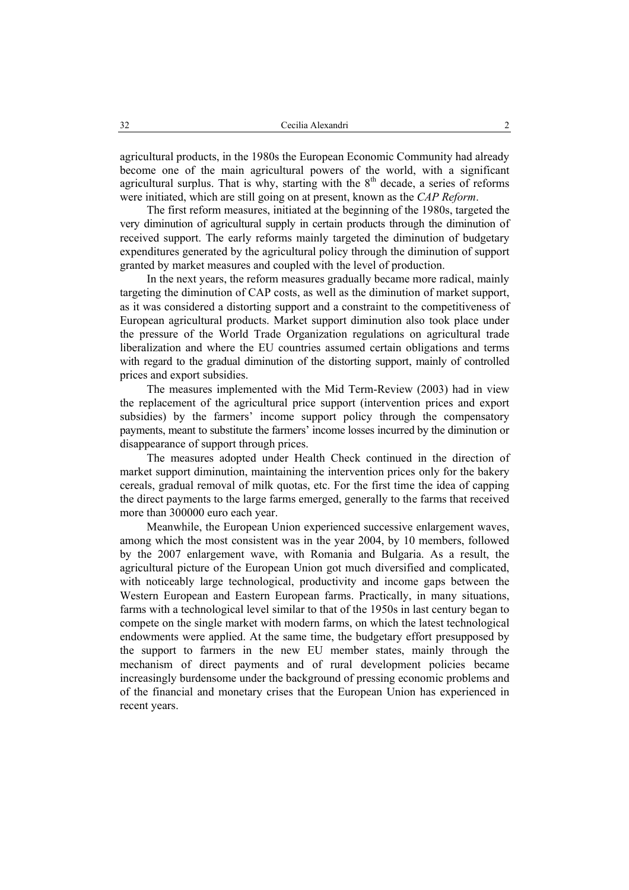agricultural products, in the 1980s the European Economic Community had already become one of the main agricultural powers of the world, with a significant agricultural surplus. That is why, starting with the  $8<sup>th</sup>$  decade, a series of reforms were initiated, which are still going on at present, known as the *CAP Reform*.

The first reform measures, initiated at the beginning of the 1980s, targeted the very diminution of agricultural supply in certain products through the diminution of received support. The early reforms mainly targeted the diminution of budgetary expenditures generated by the agricultural policy through the diminution of support granted by market measures and coupled with the level of production.

In the next years, the reform measures gradually became more radical, mainly targeting the diminution of CAP costs, as well as the diminution of market support, as it was considered a distorting support and a constraint to the competitiveness of European agricultural products. Market support diminution also took place under the pressure of the World Trade Organization regulations on agricultural trade liberalization and where the EU countries assumed certain obligations and terms with regard to the gradual diminution of the distorting support, mainly of controlled prices and export subsidies.

The measures implemented with the Mid Term-Review (2003) had in view the replacement of the agricultural price support (intervention prices and export subsidies) by the farmers' income support policy through the compensatory payments, meant to substitute the farmers' income losses incurred by the diminution or disappearance of support through prices.

The measures adopted under Health Check continued in the direction of market support diminution, maintaining the intervention prices only for the bakery cereals, gradual removal of milk quotas, etc. For the first time the idea of capping the direct payments to the large farms emerged, generally to the farms that received more than 300000 euro each year.

Meanwhile, the European Union experienced successive enlargement waves, among which the most consistent was in the year 2004, by 10 members, followed by the 2007 enlargement wave, with Romania and Bulgaria. As a result, the agricultural picture of the European Union got much diversified and complicated, with noticeably large technological, productivity and income gaps between the Western European and Eastern European farms. Practically, in many situations, farms with a technological level similar to that of the 1950s in last century began to compete on the single market with modern farms, on which the latest technological endowments were applied. At the same time, the budgetary effort presupposed by the support to farmers in the new EU member states, mainly through the mechanism of direct payments and of rural development policies became increasingly burdensome under the background of pressing economic problems and of the financial and monetary crises that the European Union has experienced in recent years.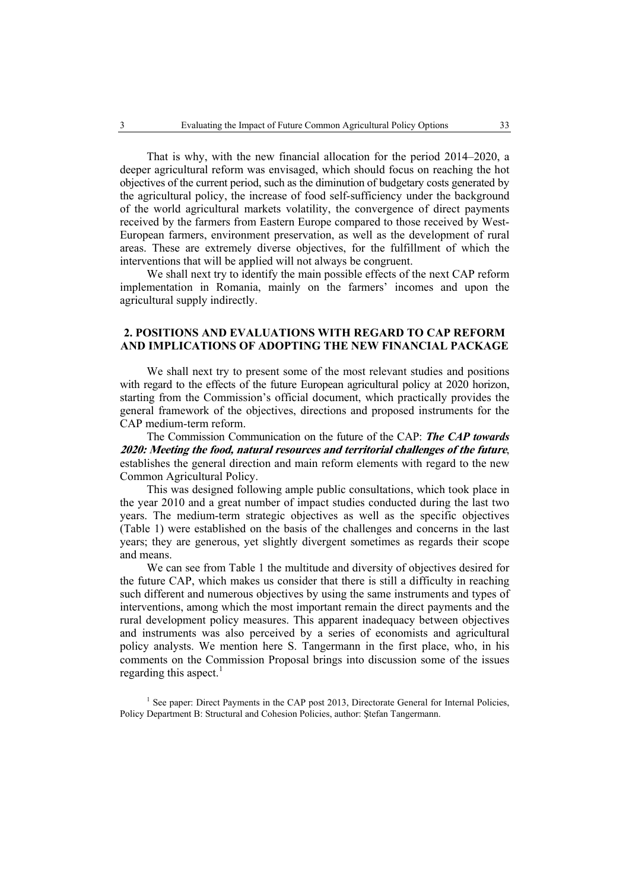That is why, with the new financial allocation for the period 2014–2020, a deeper agricultural reform was envisaged, which should focus on reaching the hot objectives of the current period, such as the diminution of budgetary costs generated by the agricultural policy, the increase of food self-sufficiency under the background of the world agricultural markets volatility, the convergence of direct payments received by the farmers from Eastern Europe compared to those received by West-European farmers, environment preservation, as well as the development of rural areas. These are extremely diverse objectives, for the fulfillment of which the interventions that will be applied will not always be congruent.

We shall next try to identify the main possible effects of the next CAP reform implementation in Romania, mainly on the farmers' incomes and upon the agricultural supply indirectly.

# **2. POSITIONS AND EVALUATIONS WITH REGARD TO CAP REFORM AND IMPLICATIONS OF ADOPTING THE NEW FINANCIAL PACKAGE**

We shall next try to present some of the most relevant studies and positions with regard to the effects of the future European agricultural policy at 2020 horizon, starting from the Commission's official document, which practically provides the general framework of the objectives, directions and proposed instruments for the CAP medium-term reform.

The Commission Communication on the future of the CAP: *The CAP towards*  **2020: Meeting the food, natural resources and territorial challenges of the future**, establishes the general direction and main reform elements with regard to the new Common Agricultural Policy.

This was designed following ample public consultations, which took place in the year 2010 and a great number of impact studies conducted during the last two years. The medium-term strategic objectives as well as the specific objectives (Table 1) were established on the basis of the challenges and concerns in the last years; they are generous, yet slightly divergent sometimes as regards their scope and means.

We can see from Table 1 the multitude and diversity of objectives desired for the future CAP, which makes us consider that there is still a difficulty in reaching such different and numerous objectives by using the same instruments and types of interventions, among which the most important remain the direct payments and the rural development policy measures. This apparent inadequacy between objectives and instruments was also perceived by a series of economists and agricultural policy analysts. We mention here S. Tangermann in the first place, who, in his comments on the Commission Proposal brings into discussion some of the issues regarding this aspect.<sup>1</sup>

<sup>1</sup> See paper: Direct Payments in the CAP post 2013, Directorate General for Internal Policies, Policy Department B: Structural and Cohesion Policies, author: Ştefan Tangermann.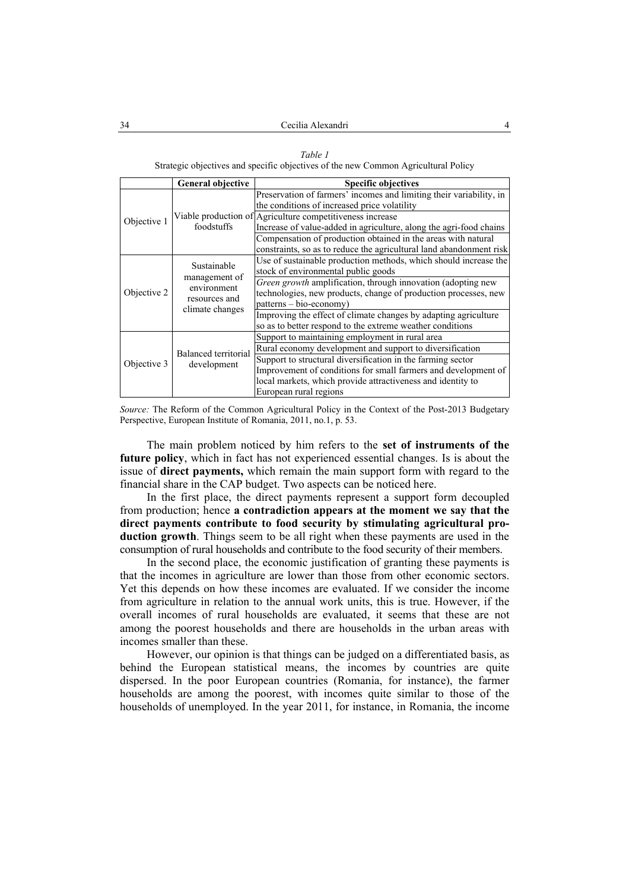#### *Table 1*

Strategic objectives and specific objectives of the new Common Agricultural Policy

|                 | <b>General objective</b>                                     | <b>Specific objectives</b>                                          |
|-----------------|--------------------------------------------------------------|---------------------------------------------------------------------|
|                 |                                                              | Preservation of farmers' incomes and limiting their variability, in |
|                 |                                                              | the conditions of increased price volatility                        |
| Objective 1     |                                                              | Viable production of Agriculture competitiveness increase           |
|                 | foodstuffs                                                   | Increase of value-added in agriculture, along the agri-food chains  |
|                 |                                                              | Compensation of production obtained in the areas with natural       |
|                 |                                                              | constraints, so as to reduce the agricultural land abandonment risk |
|                 |                                                              | Use of sustainable production methods, which should increase the    |
|                 | Sustainable<br>management of<br>environment<br>resources and | stock of environmental public goods                                 |
|                 |                                                              | Green growth amplification, through innovation (adopting new        |
| Objective 2     |                                                              | technologies, new products, change of production processes, new     |
|                 |                                                              | patterns - bio-economy)                                             |
| climate changes |                                                              | Improving the effect of climate changes by adapting agriculture     |
|                 |                                                              | so as to better respond to the extreme weather conditions           |
|                 |                                                              | Support to maintaining employment in rural area                     |
|                 | Balanced territorial                                         | Rural economy development and support to diversification            |
| Objective 3     |                                                              | Support to structural diversification in the farming sector         |
|                 | development                                                  | Improvement of conditions for small farmers and development of      |
|                 |                                                              | local markets, which provide attractiveness and identity to         |
|                 |                                                              | European rural regions                                              |

*Source:* The Reform of the Common Agricultural Policy in the Context of the Post-2013 Budgetary Perspective, European Institute of Romania, 2011, no.1, p. 53.

The main problem noticed by him refers to the **set of instruments of the future policy**, which in fact has not experienced essential changes. Is is about the issue of **direct payments,** which remain the main support form with regard to the financial share in the CAP budget. Two aspects can be noticed here.

In the first place, the direct payments represent a support form decoupled from production; hence **a contradiction appears at the moment we say that the direct payments contribute to food security by stimulating agricultural production growth**. Things seem to be all right when these payments are used in the consumption of rural households and contribute to the food security of their members.

In the second place, the economic justification of granting these payments is that the incomes in agriculture are lower than those from other economic sectors. Yet this depends on how these incomes are evaluated. If we consider the income from agriculture in relation to the annual work units, this is true. However, if the overall incomes of rural households are evaluated, it seems that these are not among the poorest households and there are households in the urban areas with incomes smaller than these.

However, our opinion is that things can be judged on a differentiated basis, as behind the European statistical means, the incomes by countries are quite dispersed. In the poor European countries (Romania, for instance), the farmer households are among the poorest, with incomes quite similar to those of the households of unemployed. In the year 2011, for instance, in Romania, the income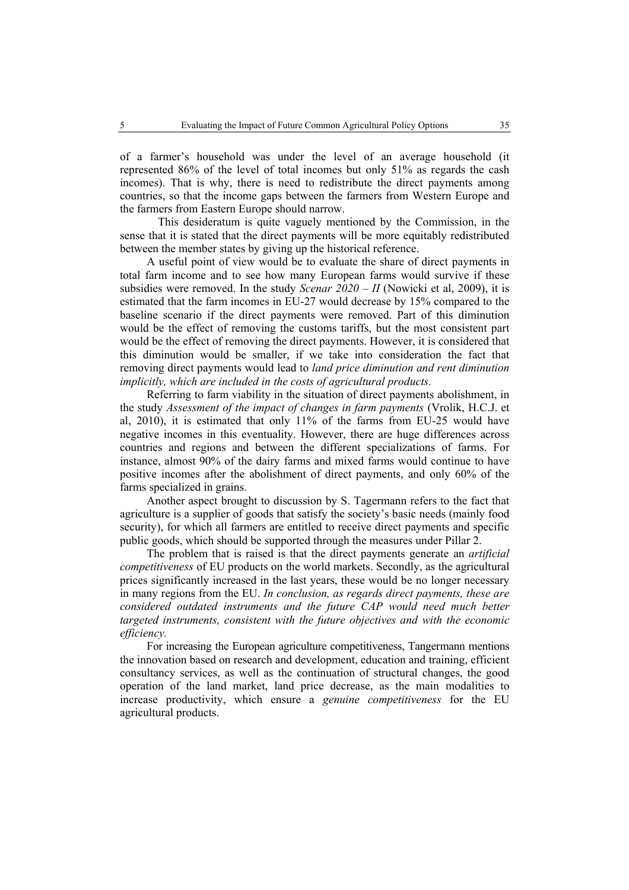of a farmer's household was under the level of an average household (it represented 86% of the level of total incomes but only 51% as regards the cash incomes). That is why, there is need to redistribute the direct payments among countries, so that the income gaps between the farmers from Western Europe and the farmers from Eastern Europe should narrow.

 This desideratum is quite vaguely mentioned by the Commission, in the sense that it is stated that the direct payments will be more equitably redistributed between the member states by giving up the historical reference.

A useful point of view would be to evaluate the share of direct payments in total farm income and to see how many European farms would survive if these subsidies were removed. In the study *Scenar 2020 – II* (Nowicki et al, 2009), it is estimated that the farm incomes in EU-27 would decrease by 15% compared to the baseline scenario if the direct payments were removed. Part of this diminution would be the effect of removing the customs tariffs, but the most consistent part would be the effect of removing the direct payments. However, it is considered that this diminution would be smaller, if we take into consideration the fact that removing direct payments would lead to *land price diminution and rent diminution implicitly, which are included in the costs of agricultural products.* 

Referring to farm viability in the situation of direct payments abolishment, in the study *Assessment of the impact of changes in farm payments* (Vrolik, H.C.J. et al, 2010), it is estimated that only 11% of the farms from EU-25 would have negative incomes in this eventuality. However, there are huge differences across countries and regions and between the different specializations of farms. For instance, almost 90% of the dairy farms and mixed farms would continue to have positive incomes after the abolishment of direct payments, and only 60% of the farms specialized in grains.

Another aspect brought to discussion by S. Tagermann refers to the fact that agriculture is a supplier of goods that satisfy the society's basic needs (mainly food security), for which all farmers are entitled to receive direct payments and specific public goods, which should be supported through the measures under Pillar 2.

The problem that is raised is that the direct payments generate an *artificial competitiveness* of EU products on the world markets. Secondly, as the agricultural prices significantly increased in the last years, these would be no longer necessary in many regions from the EU. *In conclusion, as regards direct payments, these are considered outdated instruments and the future CAP would need much better targeted instruments, consistent with the future objectives and with the economic efficiency.* 

For increasing the European agriculture competitiveness, Tangermann mentions the innovation based on research and development, education and training, efficient consultancy services, as well as the continuation of structural changes, the good operation of the land market, land price decrease, as the main modalities to increase productivity, which ensure a *genuine competitiveness* for the EU agricultural products.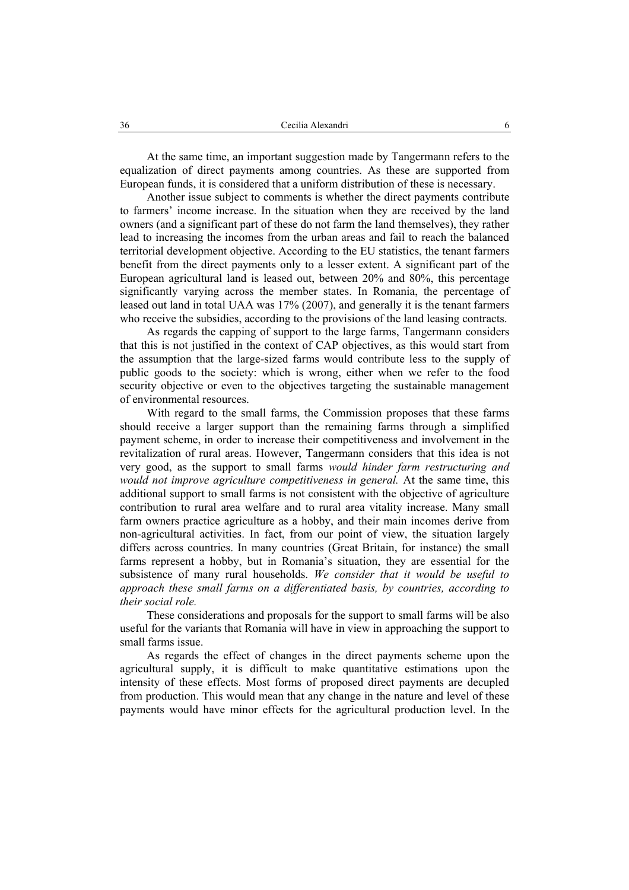At the same time, an important suggestion made by Tangermann refers to the equalization of direct payments among countries. As these are supported from European funds, it is considered that a uniform distribution of these is necessary.

Another issue subject to comments is whether the direct payments contribute to farmers' income increase. In the situation when they are received by the land owners (and a significant part of these do not farm the land themselves), they rather lead to increasing the incomes from the urban areas and fail to reach the balanced territorial development objective. According to the EU statistics, the tenant farmers benefit from the direct payments only to a lesser extent. A significant part of the European agricultural land is leased out, between 20% and 80%, this percentage significantly varying across the member states. In Romania, the percentage of leased out land in total UAA was 17% (2007), and generally it is the tenant farmers who receive the subsidies, according to the provisions of the land leasing contracts.

As regards the capping of support to the large farms, Tangermann considers that this is not justified in the context of CAP objectives, as this would start from the assumption that the large-sized farms would contribute less to the supply of public goods to the society: which is wrong, either when we refer to the food security objective or even to the objectives targeting the sustainable management of environmental resources.

With regard to the small farms, the Commission proposes that these farms should receive a larger support than the remaining farms through a simplified payment scheme, in order to increase their competitiveness and involvement in the revitalization of rural areas. However, Tangermann considers that this idea is not very good, as the support to small farms *would hinder farm restructuring and would not improve agriculture competitiveness in general.* At the same time, this additional support to small farms is not consistent with the objective of agriculture contribution to rural area welfare and to rural area vitality increase. Many small farm owners practice agriculture as a hobby, and their main incomes derive from non-agricultural activities. In fact, from our point of view, the situation largely differs across countries. In many countries (Great Britain, for instance) the small farms represent a hobby, but in Romania's situation, they are essential for the subsistence of many rural households. *We consider that it would be useful to approach these small farms on a differentiated basis, by countries, according to their social role.* 

These considerations and proposals for the support to small farms will be also useful for the variants that Romania will have in view in approaching the support to small farms issue.

As regards the effect of changes in the direct payments scheme upon the agricultural supply, it is difficult to make quantitative estimations upon the intensity of these effects. Most forms of proposed direct payments are decupled from production. This would mean that any change in the nature and level of these payments would have minor effects for the agricultural production level. In the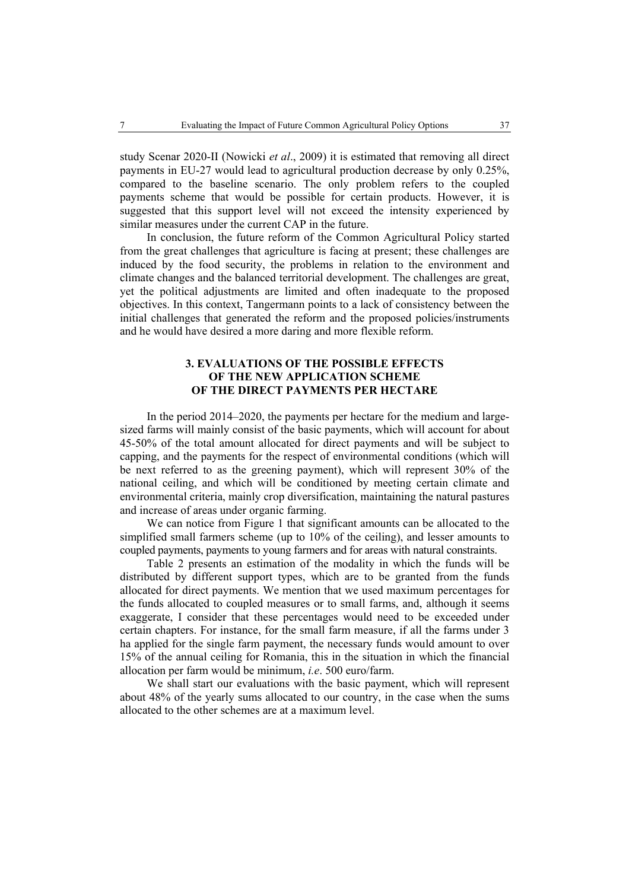study Scenar 2020-II (Nowicki *et al*., 2009) it is estimated that removing all direct payments in EU-27 would lead to agricultural production decrease by only 0.25%, compared to the baseline scenario. The only problem refers to the coupled payments scheme that would be possible for certain products. However, it is suggested that this support level will not exceed the intensity experienced by similar measures under the current CAP in the future.

In conclusion, the future reform of the Common Agricultural Policy started from the great challenges that agriculture is facing at present; these challenges are induced by the food security, the problems in relation to the environment and climate changes and the balanced territorial development. The challenges are great, yet the political adjustments are limited and often inadequate to the proposed objectives. In this context, Tangermann points to a lack of consistency between the initial challenges that generated the reform and the proposed policies/instruments and he would have desired a more daring and more flexible reform.

# **3. EVALUATIONS OF THE POSSIBLE EFFECTS OF THE NEW APPLICATION SCHEME OF THE DIRECT PAYMENTS PER HECTARE**

In the period 2014–2020, the payments per hectare for the medium and largesized farms will mainly consist of the basic payments, which will account for about 45-50% of the total amount allocated for direct payments and will be subject to capping, and the payments for the respect of environmental conditions (which will be next referred to as the greening payment), which will represent 30% of the national ceiling, and which will be conditioned by meeting certain climate and environmental criteria, mainly crop diversification, maintaining the natural pastures and increase of areas under organic farming.

We can notice from Figure 1 that significant amounts can be allocated to the simplified small farmers scheme (up to 10% of the ceiling), and lesser amounts to coupled payments, payments to young farmers and for areas with natural constraints.

Table 2 presents an estimation of the modality in which the funds will be distributed by different support types, which are to be granted from the funds allocated for direct payments. We mention that we used maximum percentages for the funds allocated to coupled measures or to small farms, and, although it seems exaggerate, I consider that these percentages would need to be exceeded under certain chapters. For instance, for the small farm measure, if all the farms under 3 ha applied for the single farm payment, the necessary funds would amount to over 15% of the annual ceiling for Romania, this in the situation in which the financial allocation per farm would be minimum, *i.e*. 500 euro/farm.

We shall start our evaluations with the basic payment, which will represent about 48% of the yearly sums allocated to our country, in the case when the sums allocated to the other schemes are at a maximum level.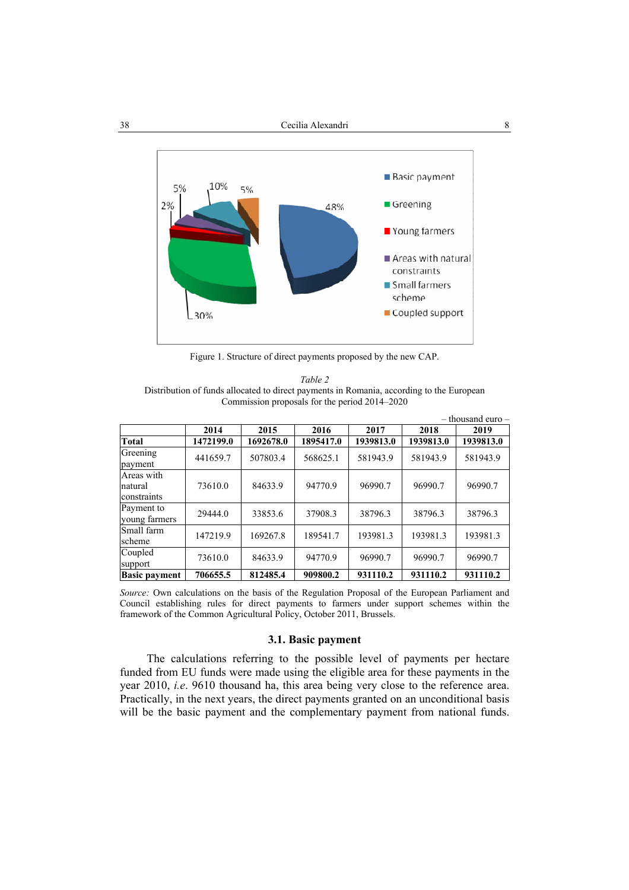

Figure 1. Structure of direct payments proposed by the new CAP.

*Table 2*  Distribution of funds allocated to direct payments in Romania, according to the European Commission proposals for the period 2014–2020

|                                      |           |           |           |           |           | $-$ thousand euro $-$ |
|--------------------------------------|-----------|-----------|-----------|-----------|-----------|-----------------------|
|                                      | 2014      | 2015      | 2016      | 2017      | 2018      | 2019                  |
| Total                                | 1472199.0 | 1692678.0 | 1895417.0 | 1939813.0 | 1939813.0 | 1939813.0             |
| Greening<br>payment                  | 441659.7  | 507803.4  | 568625.1  | 581943.9  | 581943.9  | 581943.9              |
| Areas with<br>natural<br>constraints | 73610.0   | 84633.9   | 94770.9   | 96990.7   | 96990.7   | 96990.7               |
| Payment to<br>voung farmers          | 29444.0   | 33853.6   | 37908.3   | 38796.3   | 38796.3   | 38796.3               |
| Small farm<br>scheme                 | 147219.9  | 169267.8  | 189541.7  | 193981.3  | 193981.3  | 193981.3              |
| Coupled<br>support                   | 73610.0   | 84633.9   | 94770.9   | 96990.7   | 96990.7   | 96990.7               |
| <b>Basic payment</b>                 | 706655.5  | 812485.4  | 909800.2  | 931110.2  | 931110.2  | 931110.2              |

*Source:* Own calculations on the basis of the Regulation Proposal of the European Parliament and Council establishing rules for direct payments to farmers under support schemes within the framework of the Common Agricultural Policy, October 2011, Brussels.

# **3.1. Basic payment**

The calculations referring to the possible level of payments per hectare funded from EU funds were made using the eligible area for these payments in the year 2010, *i.e*. 9610 thousand ha, this area being very close to the reference area. Practically, in the next years, the direct payments granted on an unconditional basis will be the basic payment and the complementary payment from national funds.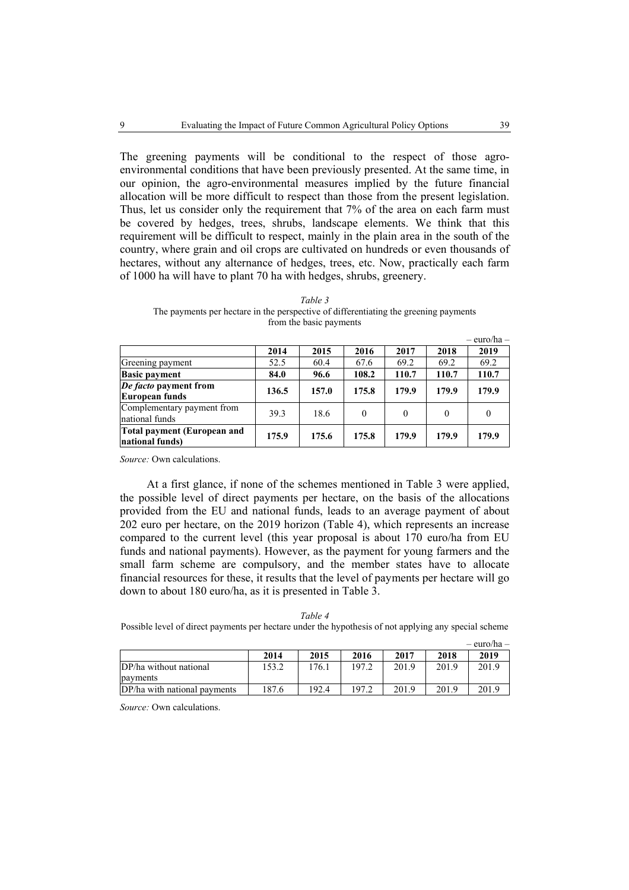The greening payments will be conditional to the respect of those agroenvironmental conditions that have been previously presented. At the same time, in our opinion, the agro-environmental measures implied by the future financial allocation will be more difficult to respect than those from the present legislation. Thus, let us consider only the requirement that 7% of the area on each farm must be covered by hedges, trees, shrubs, landscape elements. We think that this requirement will be difficult to respect, mainly in the plain area in the south of the country, where grain and oil crops are cultivated on hundreds or even thousands of hectares, without any alternance of hedges, trees, etc. Now, practically each farm of 1000 ha will have to plant 70 ha with hedges, shrubs, greenery.

| Table 3                                                                              |
|--------------------------------------------------------------------------------------|
| The payments per hectare in the perspective of differentiating the greening payments |
| from the basic payments                                                              |

|                                                |       |       |          |          |          | $-$ euro/ha $-$ |
|------------------------------------------------|-------|-------|----------|----------|----------|-----------------|
|                                                | 2014  | 2015  | 2016     | 2017     | 2018     | 2019            |
| Greening payment                               | 52.5  | 60.4  | 67.6     | 69.2     | 69.2     | 69.2            |
| <b>Basic payment</b>                           | 84.0  | 96.6  | 108.2    | 110.7    | 110.7    | 110.7           |
| De facto payment from<br>European funds        | 136.5 | 157.0 | 175.8    | 179.9    | 179.9    | 179.9           |
| Complementary payment from<br>national funds   | 39.3  | 18.6  | $\theta$ | $\Omega$ | $\theta$ | 0               |
| Total payment (European and<br>national funds) | 175.9 | 175.6 | 175.8    | 179.9    | 179.9    | 179.9           |

*Source:* Own calculations.

At a first glance, if none of the schemes mentioned in Table 3 were applied, the possible level of direct payments per hectare, on the basis of the allocations provided from the EU and national funds, leads to an average payment of about 202 euro per hectare, on the 2019 horizon (Table 4), which represents an increase compared to the current level (this year proposal is about 170 euro/ha from EU funds and national payments). However, as the payment for young farmers and the small farm scheme are compulsory, and the member states have to allocate financial resources for these, it results that the level of payments per hectare will go down to about 180 euro/ha, as it is presented in Table 3.

*Table 4*  Possible level of direct payments per hectare under the hypothesis of not applying any special scheme

|                              |       |       |       |       |       | – euro/ha – |
|------------------------------|-------|-------|-------|-------|-------|-------------|
|                              | 2014  | 2015  | 2016  | 2017  | 2018  | 2019        |
| DP/ha without national       | 153.2 | .76.1 | 197.2 | 201.9 | 201.9 | 201.9       |
| payments                     |       |       |       |       |       |             |
| DP/ha with national payments | 187.6 | 192.4 | 197 2 | 201.9 | 201.9 | 201.9       |

*Source:* Own calculations.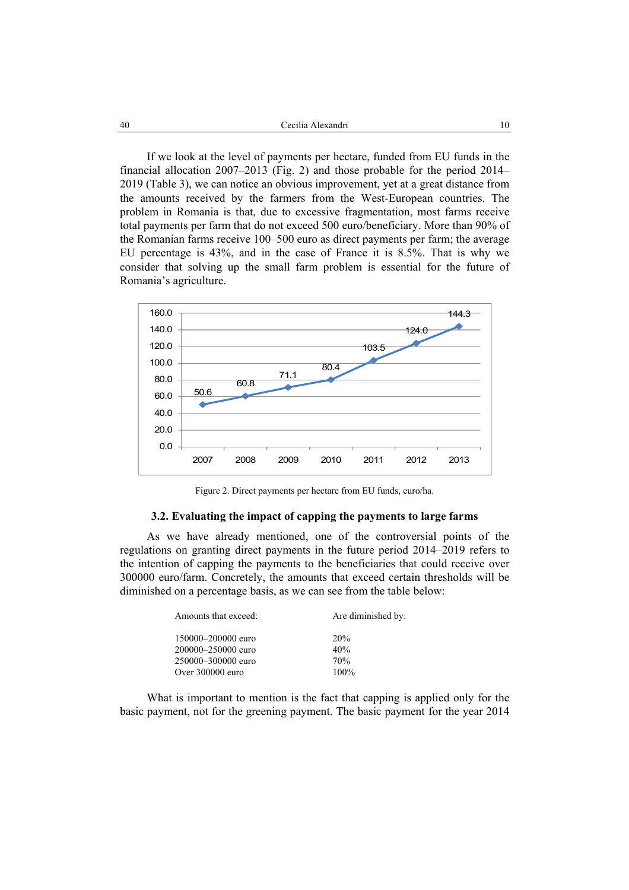If we look at the level of payments per hectare, funded from EU funds in the financial allocation 2007–2013 (Fig. 2) and those probable for the period 2014– 2019 (Table 3), we can notice an obvious improvement, yet at a great distance from the amounts received by the farmers from the West-European countries. The problem in Romania is that, due to excessive fragmentation, most farms receive total payments per farm that do not exceed 500 euro/beneficiary. More than 90% of the Romanian farms receive 100–500 euro as direct payments per farm; the average EU percentage is 43%, and in the case of France it is 8.5%. That is why we consider that solving up the small farm problem is essential for the future of Romania's agriculture.



Figure 2. Direct payments per hectare from EU funds, euro/ha.

### **3.2. Evaluating the impact of capping the payments to large farms**

As we have already mentioned, one of the controversial points of the regulations on granting direct payments in the future period 2014–2019 refers to the intention of capping the payments to the beneficiaries that could receive over 300000 euro/farm. Concretely, the amounts that exceed certain thresholds will be diminished on a percentage basis, as we can see from the table below:

| Amounts that exceed: | Are diminished by: |
|----------------------|--------------------|
| 150000-200000 euro   | 20%                |
| 200000-250000 euro   | 40%                |
| 250000-300000 euro   | 70%                |
| Over 300000 euro     | $100\%$            |

What is important to mention is the fact that capping is applied only for the basic payment, not for the greening payment. The basic payment for the year 2014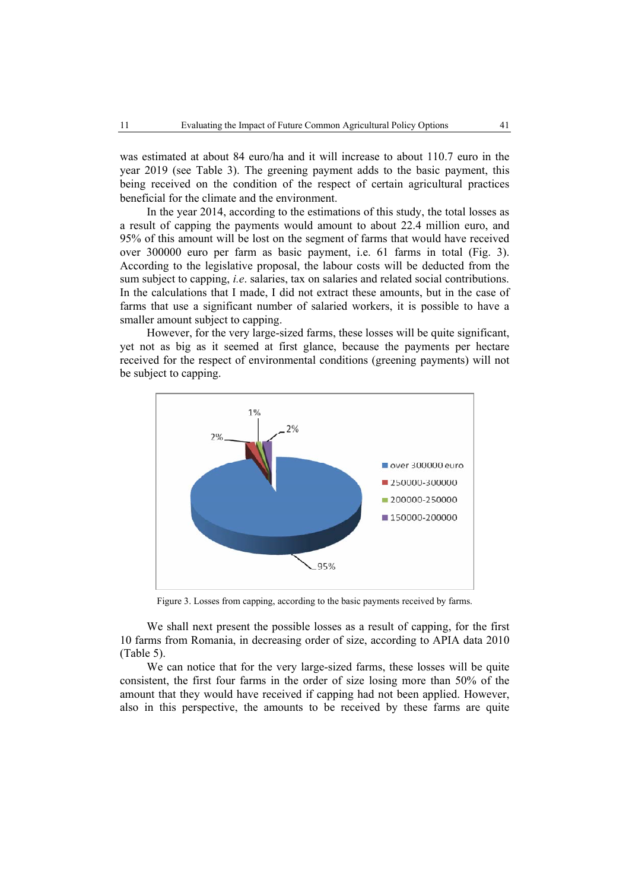was estimated at about 84 euro/ha and it will increase to about 110.7 euro in the year 2019 (see Table 3). The greening payment adds to the basic payment, this being received on the condition of the respect of certain agricultural practices beneficial for the climate and the environment.

In the year 2014, according to the estimations of this study, the total losses as a result of capping the payments would amount to about 22.4 million euro, and 95% of this amount will be lost on the segment of farms that would have received over 300000 euro per farm as basic payment, i.e. 61 farms in total (Fig. 3). According to the legislative proposal, the labour costs will be deducted from the sum subject to capping, *i.e*. salaries, tax on salaries and related social contributions. In the calculations that I made, I did not extract these amounts, but in the case of farms that use a significant number of salaried workers, it is possible to have a smaller amount subject to capping.

However, for the very large-sized farms, these losses will be quite significant, yet not as big as it seemed at first glance, because the payments per hectare received for the respect of environmental conditions (greening payments) will not be subject to capping.



Figure 3. Losses from capping, according to the basic payments received by farms.

We shall next present the possible losses as a result of capping, for the first 10 farms from Romania, in decreasing order of size, according to APIA data 2010 (Table 5).

We can notice that for the very large-sized farms, these losses will be quite consistent, the first four farms in the order of size losing more than 50% of the amount that they would have received if capping had not been applied. However, also in this perspective, the amounts to be received by these farms are quite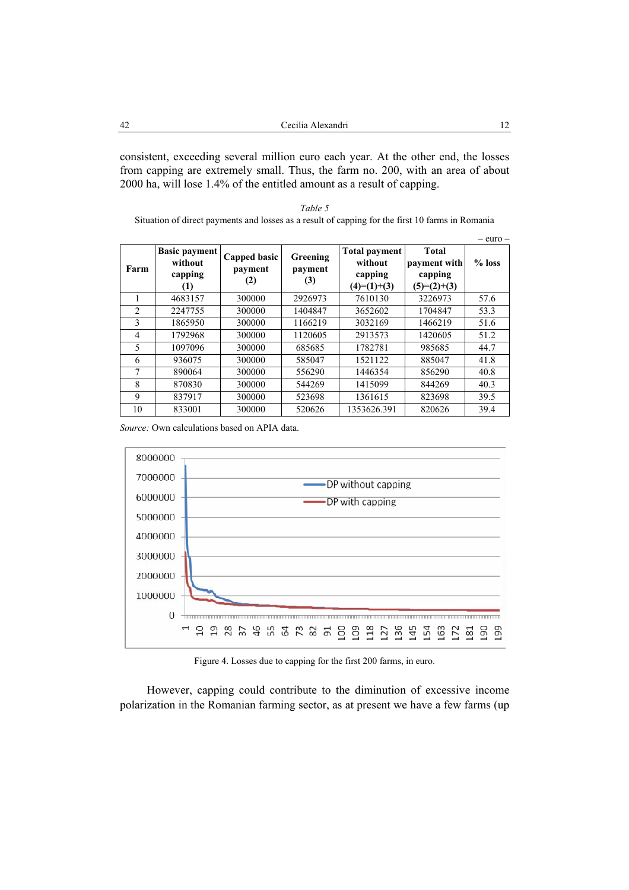| 42<br>Cecilia Alexandri |  |
|-------------------------|--|
|-------------------------|--|

consistent, exceeding several million euro each year. At the other end, the losses from capping are extremely small. Thus, the farm no. 200, with an area of about 2000 ha, will lose 1.4% of the entitled amount as a result of capping.

| Table 5                                                                                          |
|--------------------------------------------------------------------------------------------------|
| Situation of direct payments and losses as a result of capping for the first 10 farms in Romania |

|                |                                 |                |                |                                 |                              | $-$ euro $-$ |
|----------------|---------------------------------|----------------|----------------|---------------------------------|------------------------------|--------------|
|                | <b>Basic payment</b><br>without | Capped basic   | Greening       | <b>Total payment</b><br>without | <b>Total</b><br>payment with | $%$ loss     |
| Farm           | capping<br>(1)                  | payment<br>(2) | payment<br>(3) | capping<br>$(4)=(1)+(3)$        | capping<br>$(5)=(2)+(3)$     |              |
|                | 4683157                         | 300000         | 2926973        | 7610130                         | 3226973                      | 57.6         |
| $\overline{c}$ | 2247755                         | 300000         | 1404847        | 3652602                         | 1704847                      | 53.3         |
| 3              | 1865950                         | 300000         | 1166219        | 3032169                         | 1466219                      | 51.6         |
| 4              | 1792968                         | 300000         | 1120605        | 2913573                         | 1420605                      | 51.2         |
| 5              | 1097096                         | 300000         | 685685         | 1782781                         | 985685                       | 44.7         |
| 6              | 936075                          | 300000         | 585047         | 1521122                         | 885047                       | 41.8         |
| 7              | 890064                          | 300000         | 556290         | 1446354                         | 856290                       | 40.8         |
| 8              | 870830                          | 300000         | 544269         | 1415099                         | 844269                       | 40.3         |
| 9              | 837917                          | 300000         | 523698         | 1361615                         | 823698                       | 39.5         |
| 10             | 833001                          | 300000         | 520626         | 1353626.391                     | 820626                       | 39.4         |

*Source:* Own calculations based on APIA data.



Figure 4. Losses due to capping for the first 200 farms, in euro.

However, capping could contribute to the diminution of excessive income polarization in the Romanian farming sector, as at present we have a few farms (up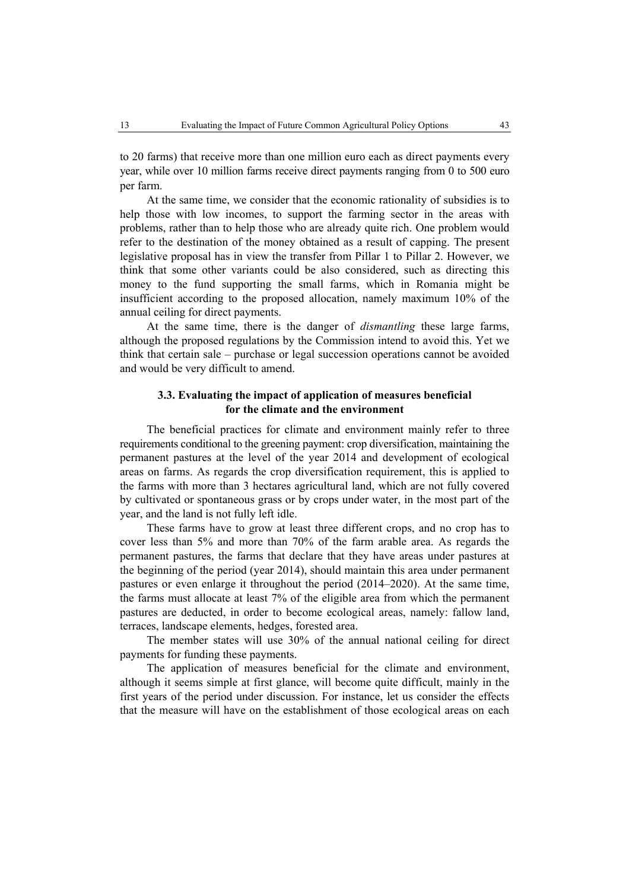to 20 farms) that receive more than one million euro each as direct payments every year, while over 10 million farms receive direct payments ranging from 0 to 500 euro per farm.

At the same time, we consider that the economic rationality of subsidies is to help those with low incomes, to support the farming sector in the areas with problems, rather than to help those who are already quite rich. One problem would refer to the destination of the money obtained as a result of capping. The present legislative proposal has in view the transfer from Pillar 1 to Pillar 2. However, we think that some other variants could be also considered, such as directing this money to the fund supporting the small farms, which in Romania might be insufficient according to the proposed allocation, namely maximum 10% of the annual ceiling for direct payments.

At the same time, there is the danger of *dismantling* these large farms, although the proposed regulations by the Commission intend to avoid this. Yet we think that certain sale – purchase or legal succession operations cannot be avoided and would be very difficult to amend.

# **3.3. Evaluating the impact of application of measures beneficial for the climate and the environment**

The beneficial practices for climate and environment mainly refer to three requirements conditional to the greening payment: crop diversification, maintaining the permanent pastures at the level of the year 2014 and development of ecological areas on farms. As regards the crop diversification requirement, this is applied to the farms with more than 3 hectares agricultural land, which are not fully covered by cultivated or spontaneous grass or by crops under water, in the most part of the year, and the land is not fully left idle.

These farms have to grow at least three different crops, and no crop has to cover less than 5% and more than 70% of the farm arable area. As regards the permanent pastures, the farms that declare that they have areas under pastures at the beginning of the period (year 2014), should maintain this area under permanent pastures or even enlarge it throughout the period (2014–2020). At the same time, the farms must allocate at least 7% of the eligible area from which the permanent pastures are deducted, in order to become ecological areas, namely: fallow land, terraces, landscape elements, hedges, forested area.

The member states will use 30% of the annual national ceiling for direct payments for funding these payments.

The application of measures beneficial for the climate and environment, although it seems simple at first glance, will become quite difficult, mainly in the first years of the period under discussion. For instance, let us consider the effects that the measure will have on the establishment of those ecological areas on each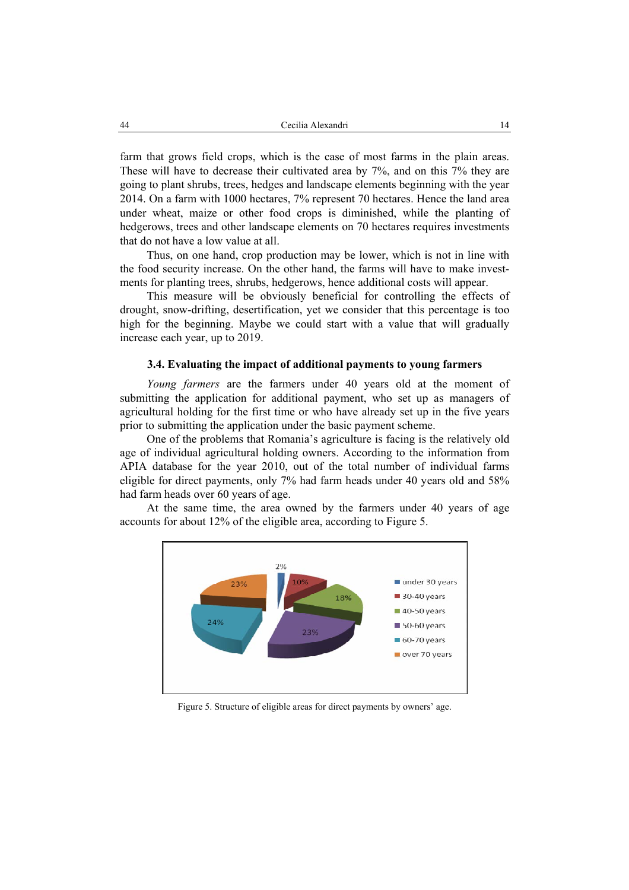farm that grows field crops, which is the case of most farms in the plain areas. These will have to decrease their cultivated area by 7%, and on this 7% they are going to plant shrubs, trees, hedges and landscape elements beginning with the year 2014. On a farm with 1000 hectares, 7% represent 70 hectares. Hence the land area under wheat, maize or other food crops is diminished, while the planting of hedgerows, trees and other landscape elements on 70 hectares requires investments that do not have a low value at all.

Thus, on one hand, crop production may be lower, which is not in line with the food security increase. On the other hand, the farms will have to make investments for planting trees, shrubs, hedgerows, hence additional costs will appear.

This measure will be obviously beneficial for controlling the effects of drought, snow-drifting, desertification, yet we consider that this percentage is too high for the beginning. Maybe we could start with a value that will gradually increase each year, up to 2019.

## **3.4. Evaluating the impact of additional payments to young farmers**

*Young farmers* are the farmers under 40 years old at the moment of submitting the application for additional payment, who set up as managers of agricultural holding for the first time or who have already set up in the five years prior to submitting the application under the basic payment scheme.

One of the problems that Romania's agriculture is facing is the relatively old age of individual agricultural holding owners. According to the information from APIA database for the year 2010, out of the total number of individual farms eligible for direct payments, only 7% had farm heads under 40 years old and 58% had farm heads over 60 years of age.

At the same time, the area owned by the farmers under 40 years of age accounts for about 12% of the eligible area, according to Figure 5.



Figure 5. Structure of eligible areas for direct payments by owners' age.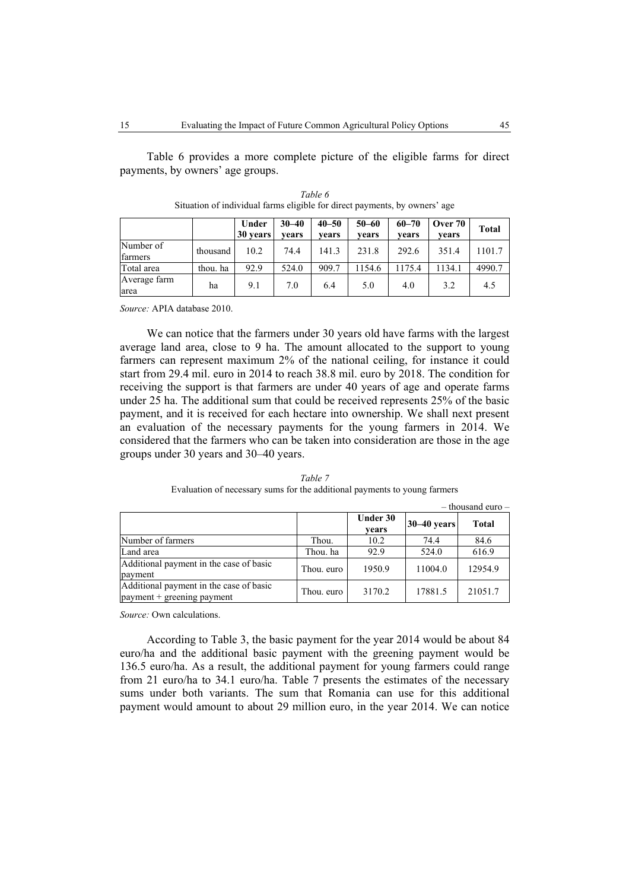Table 6 provides a more complete picture of the eligible farms for direct payments, by owners' age groups.

|                      |          | Under<br>30 years | $30 - 40$<br>vears | $40 - 50$<br>vears | $50 - 60$<br>vears | $60 - 70$<br>vears | Over 70<br>vears | <b>Total</b> |
|----------------------|----------|-------------------|--------------------|--------------------|--------------------|--------------------|------------------|--------------|
| Number of<br>farmers | thousand | 10.2              | 74.4               | 141.3              | 231.8              | 292.6              | 351.4            | 1101.7       |
| Total area           | thou. ha | 92.9              | 524.0              | 909.7              | 154.6              | 1175.4             | 1134.1           | 4990.7       |
| Average farm<br>area | ha       | 9.1               | 7.0                | 6.4                | 5.0                | 4.0                | 3.2              | 4.5          |

*Table 6*  Situation of individual farms eligible for direct payments, by owners' age

*Source:* APIA database 2010.

We can notice that the farmers under 30 years old have farms with the largest average land area, close to 9 ha. The amount allocated to the support to young farmers can represent maximum 2% of the national ceiling, for instance it could start from 29.4 mil. euro in 2014 to reach 38.8 mil. euro by 2018. The condition for receiving the support is that farmers are under 40 years of age and operate farms under 25 ha. The additional sum that could be received represents 25% of the basic payment, and it is received for each hectare into ownership. We shall next present an evaluation of the necessary payments for the young farmers in 2014. We considered that the farmers who can be taken into consideration are those in the age groups under 30 years and 30–40 years.

|                                                                         |            |                          |               | $-$ thousand euro $-$ |
|-------------------------------------------------------------------------|------------|--------------------------|---------------|-----------------------|
|                                                                         |            | <b>Under 30</b><br>vears | $30-40$ years | <b>Total</b>          |
| Number of farmers                                                       | Thou.      | 10.2                     | 74.4          | 84.6                  |
| Land area                                                               | Thou, ha   | 92.9                     | 524.0         | 616.9                 |
| Additional payment in the case of basic<br>payment                      | Thou. euro | 1950.9                   | 11004.0       | 12954.9               |
| Additional payment in the case of basic<br>$payment + greening$ payment | Thou, euro | 3170.2                   | 17881.5       | 21051.7               |

*Table 7*  Evaluation of necessary sums for the additional payments to young farmers

*Source:* Own calculations.

According to Table 3, the basic payment for the year 2014 would be about 84 euro/ha and the additional basic payment with the greening payment would be 136.5 euro/ha. As a result, the additional payment for young farmers could range from 21 euro/ha to 34.1 euro/ha. Table 7 presents the estimates of the necessary sums under both variants. The sum that Romania can use for this additional payment would amount to about 29 million euro, in the year 2014. We can notice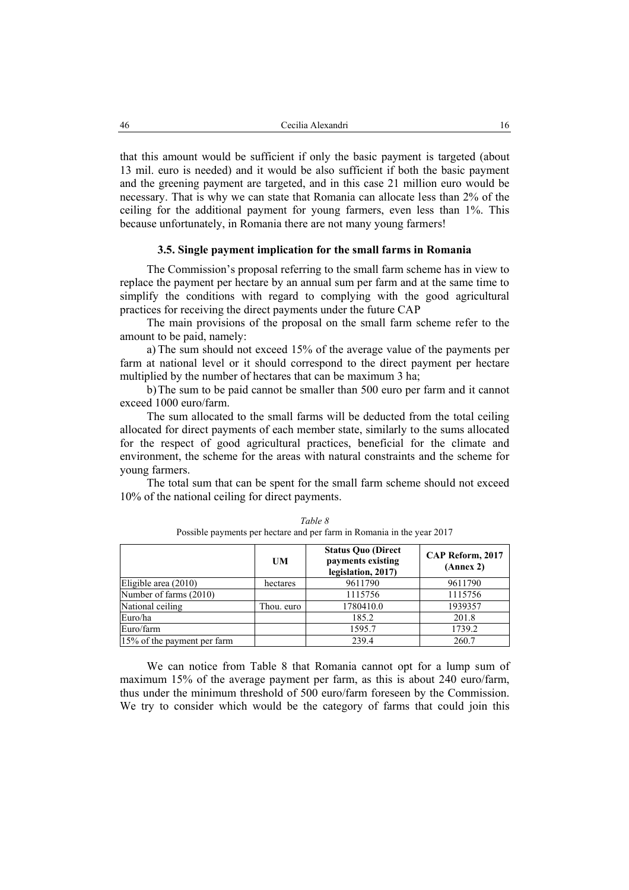that this amount would be sufficient if only the basic payment is targeted (about 13 mil. euro is needed) and it would be also sufficient if both the basic payment and the greening payment are targeted, and in this case 21 million euro would be necessary. That is why we can state that Romania can allocate less than 2% of the ceiling for the additional payment for young farmers, even less than 1%. This because unfortunately, in Romania there are not many young farmers!

# **3.5. Single payment implication for the small farms in Romania**

The Commission's proposal referring to the small farm scheme has in view to replace the payment per hectare by an annual sum per farm and at the same time to simplify the conditions with regard to complying with the good agricultural practices for receiving the direct payments under the future CAP

The main provisions of the proposal on the small farm scheme refer to the amount to be paid, namely:

a) The sum should not exceed 15% of the average value of the payments per farm at national level or it should correspond to the direct payment per hectare multiplied by the number of hectares that can be maximum 3 ha;

b)The sum to be paid cannot be smaller than 500 euro per farm and it cannot exceed 1000 euro/farm.

The sum allocated to the small farms will be deducted from the total ceiling allocated for direct payments of each member state, similarly to the sums allocated for the respect of good agricultural practices, beneficial for the climate and environment, the scheme for the areas with natural constraints and the scheme for young farmers.

The total sum that can be spent for the small farm scheme should not exceed 10% of the national ceiling for direct payments.

|                             | UM         | <b>Status Quo (Direct</b><br>payments existing<br>legislation, 2017) | CAP Reform, 2017<br>(Annex 2) |
|-----------------------------|------------|----------------------------------------------------------------------|-------------------------------|
| Eligible area $(2010)$      | hectares   | 9611790                                                              | 9611790                       |
| Number of farms (2010)      |            | 1115756                                                              | 1115756                       |
| National ceiling            | Thou. euro | 1780410.0                                                            | 1939357                       |
| Euro/ha                     |            | 185.2                                                                | 201.8                         |
| Euro/farm                   |            | 1595.7                                                               | 1739.2                        |
| 15% of the payment per farm |            | 239.4                                                                | 260.7                         |

*Table 8*  Possible payments per hectare and per farm in Romania in the year 2017

We can notice from Table 8 that Romania cannot opt for a lump sum of maximum 15% of the average payment per farm, as this is about 240 euro/farm, thus under the minimum threshold of 500 euro/farm foreseen by the Commission. We try to consider which would be the category of farms that could join this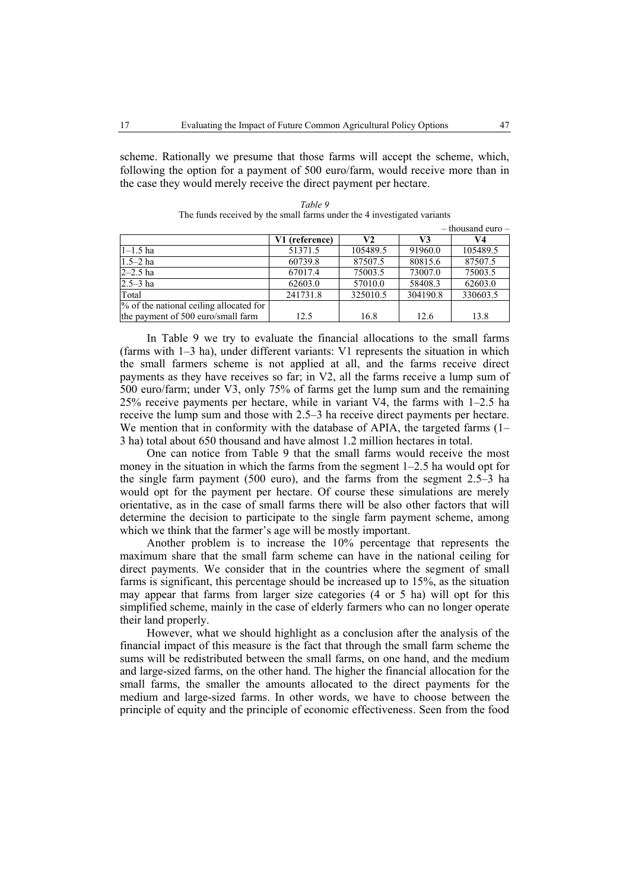scheme. Rationally we presume that those farms will accept the scheme, which, following the option for a payment of 500 euro/farm, would receive more than in the case they would merely receive the direct payment per hectare.

|                                         |                |          | $-$ thousand euro $-$ |          |  |
|-----------------------------------------|----------------|----------|-----------------------|----------|--|
|                                         | V1 (reference) | V2       | V3                    | V4       |  |
| $1 - 1.5$ ha                            | 51371.5        | 105489.5 | 91960.0               | 105489.5 |  |
| $1.5 - 2$ ha                            | 60739.8        | 87507.5  | 80815.6               | 87507.5  |  |
| $2 - 2.5$ ha                            | 67017.4        | 75003.5  | 73007.0               | 75003.5  |  |
| $2.5 - 3$ ha                            | 62603.0        | 57010.0  | 58408.3               | 62603.0  |  |
| Total                                   | 241731.8       | 325010.5 | 304190.8              | 330603.5 |  |
| % of the national ceiling allocated for |                |          |                       |          |  |
| the payment of 500 euro/small farm      | 12.5           | 16.8     | 12.6                  | 13.8     |  |

*Table 9*  The funds received by the small farms under the 4 investigated variants

In Table 9 we try to evaluate the financial allocations to the small farms (farms with 1–3 ha), under different variants: V1 represents the situation in which the small farmers scheme is not applied at all, and the farms receive direct payments as they have receives so far; in V2, all the farms receive a lump sum of 500 euro/farm; under V3, only 75% of farms get the lump sum and the remaining 25% receive payments per hectare, while in variant V4, the farms with 1–2.5 ha receive the lump sum and those with 2.5–3 ha receive direct payments per hectare. We mention that in conformity with the database of APIA, the targeted farms (1– 3 ha) total about 650 thousand and have almost 1.2 million hectares in total.

One can notice from Table 9 that the small farms would receive the most money in the situation in which the farms from the segment 1–2.5 ha would opt for the single farm payment (500 euro), and the farms from the segment 2.5–3 ha would opt for the payment per hectare. Of course these simulations are merely orientative, as in the case of small farms there will be also other factors that will determine the decision to participate to the single farm payment scheme, among which we think that the farmer's age will be mostly important.

Another problem is to increase the 10% percentage that represents the maximum share that the small farm scheme can have in the national ceiling for direct payments. We consider that in the countries where the segment of small farms is significant, this percentage should be increased up to 15%, as the situation may appear that farms from larger size categories (4 or 5 ha) will opt for this simplified scheme, mainly in the case of elderly farmers who can no longer operate their land properly.

However, what we should highlight as a conclusion after the analysis of the financial impact of this measure is the fact that through the small farm scheme the sums will be redistributed between the small farms, on one hand, and the medium and large-sized farms, on the other hand. The higher the financial allocation for the small farms, the smaller the amounts allocated to the direct payments for the medium and large-sized farms. In other words, we have to choose between the principle of equity and the principle of economic effectiveness. Seen from the food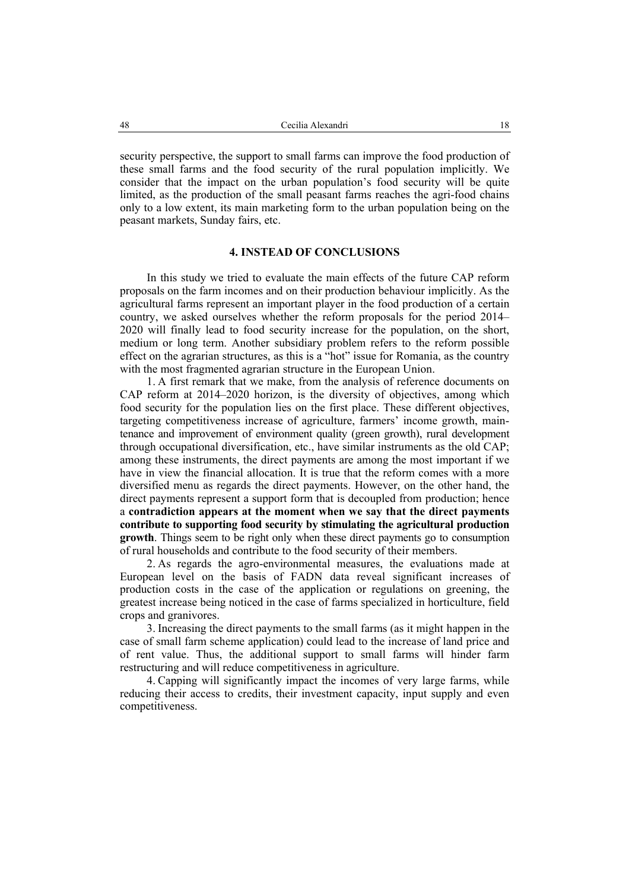security perspective, the support to small farms can improve the food production of these small farms and the food security of the rural population implicitly. We consider that the impact on the urban population's food security will be quite limited, as the production of the small peasant farms reaches the agri-food chains only to a low extent, its main marketing form to the urban population being on the peasant markets, Sunday fairs, etc.

# **4. INSTEAD OF CONCLUSIONS**

In this study we tried to evaluate the main effects of the future CAP reform proposals on the farm incomes and on their production behaviour implicitly. As the agricultural farms represent an important player in the food production of a certain country, we asked ourselves whether the reform proposals for the period 2014– 2020 will finally lead to food security increase for the population, on the short, medium or long term. Another subsidiary problem refers to the reform possible effect on the agrarian structures, as this is a "hot" issue for Romania, as the country with the most fragmented agrarian structure in the European Union.

1. A first remark that we make, from the analysis of reference documents on CAP reform at 2014–2020 horizon, is the diversity of objectives, among which food security for the population lies on the first place. These different objectives, targeting competitiveness increase of agriculture, farmers' income growth, maintenance and improvement of environment quality (green growth), rural development through occupational diversification, etc., have similar instruments as the old CAP; among these instruments, the direct payments are among the most important if we have in view the financial allocation. It is true that the reform comes with a more diversified menu as regards the direct payments. However, on the other hand, the direct payments represent a support form that is decoupled from production; hence a **contradiction appears at the moment when we say that the direct payments contribute to supporting food security by stimulating the agricultural production growth**. Things seem to be right only when these direct payments go to consumption of rural households and contribute to the food security of their members.

2. As regards the agro-environmental measures, the evaluations made at European level on the basis of FADN data reveal significant increases of production costs in the case of the application or regulations on greening, the greatest increase being noticed in the case of farms specialized in horticulture, field crops and granivores.

3. Increasing the direct payments to the small farms (as it might happen in the case of small farm scheme application) could lead to the increase of land price and of rent value. Thus, the additional support to small farms will hinder farm restructuring and will reduce competitiveness in agriculture.

4. Capping will significantly impact the incomes of very large farms, while reducing their access to credits, their investment capacity, input supply and even competitiveness.